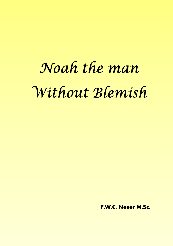# Noah the man Without Blemish

F.W.C. Neser M.Sc.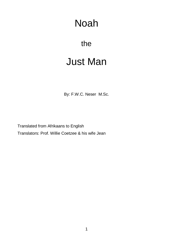# Noah

# the

# Just Man

By: F.W.C. Neser M.Sc.

Translated from Afrikaans to English Translators: Prof. Willie Coetzee & his wife Jean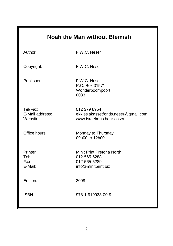|                                         | <b>Noah the Man without Blemish</b>                                               |
|-----------------------------------------|-----------------------------------------------------------------------------------|
| Author:                                 | F.W.C. Neser                                                                      |
| Copyright:                              | F.W.C. Neser                                                                      |
| Publisher:                              | F.W.C. Neser<br>P.O. Box 31571<br>Wonderboompoort<br>0033                         |
| Tel/Fax:<br>E-Mail address:<br>Website: | 012 379 8954<br>ekklesiakassetfonds.neser@gmail.com<br>www.israelmusthear.co.za   |
| Office hours:                           | Monday to Thursday<br>09h00 to 12h00                                              |
| Printer:<br>Tel:<br>Fax:<br>E-Mail:     | Minit Print Pretoria North<br>012-565-5288<br>012-565-5289<br>info@minitprint.biz |
| Edition:                                | 2008                                                                              |
| <b>ISBN</b>                             | 978-1-919933-00-9                                                                 |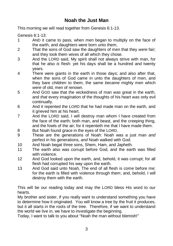# **Noah the Just Man**

This morning we will read together from Genesis 6:1-13.

Genesis 6:1-13:

- 1 AND it came to pass, when men began to multiply on the face of the earth, and daughters were born unto them,
- 2 That the sons of God saw the daughters of men that they *were* fair; and they took them wives of all which they chose.
- 3 And the LORD said, My spirit shall not always strive with man, for that he also *is* flesh: yet his days shall be a hundred and twenty years.
- 4 There were giants in the earth in those days; and also after that, when the sons of God came in unto the daughters of men, and they bare *children* to them, the same *became* mighty men which *were* of old, men of renown.
- 5 And GOD saw that the wickedness of man *was* great in the earth, and *that* every imagination of the thoughts of his heart *was* only evil continually.
- 6 And it repented the LORD that he had made man on the earth, and it grieved him at his heart.
- 7 And the LORD said, I will destroy man whom I have created from the face of the earth; both man, and beast, and the creeping thing, and the fowls of the air; for it repenteth me that I have made them.
- 8 But Noah found grace in the eyes of the LORD.
- 9 These *are* the generations of Noah: Noah was a just man *and* perfect in his generations, *and* Noah walked with God.
- 10 And Noah begat three sons, Shem, Ham, and Japheth.
- 11 The earth also was corrupt before God, and the earth was filled with violence.
- 12 And God looked upon the earth, and, behold, it was corrupt; for all flesh had corrupted his way upon the earth.
- 13 And God said unto Noah, The end of all flesh is come before me; for the earth is filled with violence through them; and, behold, I will destroy them with the earth.

This will be our reading today and may the LORD bless His word to our hearts.

My brother and sister, if you really want to understand something you have to determine how it originated. You will know a tree by the fruit it produces, but it all starts in the roots of the tree. Therefore, if we want to understand the world we live in, we have to investigate the beginning.

Today, I want to talk to you about "Noah the man without blemish!"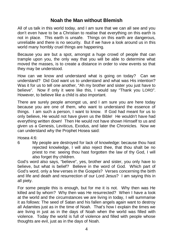## **Noah the Man without Blemish**

All of us talk in this world today, and I am sure that we can all see and you don't even have to be a Christian to realise that everything on this earth is not in place. This earth is unsafe. Things on this earth are dangerous, unreliable and there is no security. But if we have a look around us in this world many horribly cruel things are happening.

Because you are but a spot, amongst a huge crowd of people that can trample upon you, the only way that you will be able to determine what moved the masses, is to create a distance in order to view events so that they may be understood.

How can we know and understand what is going on today? Can we understand? Did God want us to understand and what was His intention? Was it for us to tell one another, "Ah my brother and sister you just have to believe". Now if only it were like this, I would say "Thank you LORD". However, to believe like a child is also important.

There are surely people amongst us, and I am sure you are here today because you are one of them, who want to understand the essence of things. I am such a person, I want to know. If God had meant for us to only believe, He would not have given us the Bible! He wouldn't have had everything written down! Then He would not have shown Himself to us and given us a Genesis, Leviticus, Exodus, and later the Chronicles. Now we can understand why the Prophet Hosea said:

Hosea 4:6:

6 My people are destroyed for lack of knowledge: because thou hast rejected knowledge, I will also reject thee, that thou shalt be no priest to me: seeing thou hast forgotten the law of thy God, I will also forget thy children.

God's word also says, "believe", yes, brother and sister, you only have to believe, but what is belief? Believe in the word of God. Which part of God's word, only a few verses in the Gospels? Verses concerning the birth and life and death and resurrection of our Lord Jesus? I am saying this in all piety.

For some people this is enough, but for me it is not. Why then was He killed and by whom? Why then was He resurrected? When I have a look at the world and the circumstances we are living in today, I will summarise it as follows: The seed of Satan and his fallen angels again want to destroy all Adamites just as in the time of Noah. That's how I explain the times we are living in just as in the days of Noah when the world was filled with violence. Today the world is full of violence and filled with people whose thoughts are evil, just as in the days of Noah.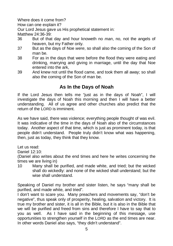Where does it come from?

How can one explain it?

Our Lord Jesus gave us His prophetical statement in:

Matthew 24:36-39:

- 36 But of that day and hour knoweth no *man*, no, not the angels of heaven, but my Father only.
- 37 But as the days of Noe *were*, so shall also the coming of the Son of man be.
- 38 For as in the days that were before the flood they were eating and drinking, marrying and giving in marriage, until the day that Noe entered into the ark
- 39 And knew not until the flood came, and took them all away; so shall also the coming of the Son of man be.

# **As In the Days of Noah**

If the Lord Jesus then tells me "just as in the days of Noah", I will investigate the days of Noah this morning and then I will have a better understanding. All of us agree and other churches also predict that the return of the LORD is imminent.

As we have said, there was violence; everything people thought of was evil. It was indicative of the time in the days of Noah also of the circumstances today. Another aspect of that time, which is just as prominent today, is that people didn't understand. People truly didn't know what was happening, then, just as today, they think that they know.

Let us read:

Daniel 12:10:

(Daniel also writes about the end times and here he writes concerning the times we are living in)

10 Many shall be purified, and made white, and tried; but the wicked shall do wickedly: and none of the wicked shall understand; but the wise shall understand.

Speaking of Daniel my brother and sister listen, he says "many shall be purified, and made white, and tried".

I don't want to scare you. Many preachers and movements say, "don't be negative", thus speak only of prosperity, healing, salvation and victory. It is true my brother and sister, it is all in the Bible, but it is also in the Bible that we will be purified and freed from sins and therefore I have to say that to you as well. As I have said in the beginning of this message, use opportunities to strengthen yourself in the LORD as the end times are near. In other words Daniel also says, "they didn't understand".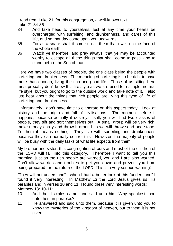I read from Luke 21, for this congregation, a well-known text. Luke 21:34-36:

- 34 And take heed to yourselves, lest at any time your hearts be overcharged with surfeiting, and drunkenness, and cares of this life, and so that day come upon you unawares.
- 35 For as a snare shall it come on all them that dwell on the face of the whole earth.
- 36 Watch ye therefore, and pray always, that ye may be accounted worthy to escape all these things that shall come to pass, and to stand before the Son of man.

Here we have two classes of people, the one class being the people with surfeiting and drunkenness. The meaning of surfeiting is to be rich, to have more than enough, living the rich and good life. Those of us sitting here most probably don't know this life style as we are used to a simple, normal life style, but you ought to go to the outside world and take note of it. I also just hear about the things that rich people are living this type of life of surfeiting and drunkenness.

Unfortunately I don't have time to elaborate on this aspect today. Look at history and the origin and fall of civilisations. The moment before it happens, because actually it destroys itself, you will find two classes of people, they sift and sort themselves out. A small group will be very rich, make money easily and throw it around as we will throw sand and stone. To them it means nothing. They live with surfeiting and drunkenness because they can normally control this. However, the majority of people will be busy with the daily tasks of what life expects from them.

My brother and sister, this congregation of ours and most of the children of the LORD will fall into this category. Therefore I want to tell you this morning, just as the rich people are warned, you and I are also warned. Don't allow worries and troubles to get you down and prevent you from being prepared for the return of the LORD. This is a very serious warning!

"They will not understand" - when I had a better look at this "understand" I found it very interesting. In Matthew 13 the Lord Jesus gives us His parables and in verses 10 and 11, I found these very interesting words: Matthew 13: 10-11:

- 10 And the disciples came, and said unto him, Why speakest thou unto them in parables?
- 11 He answered and said unto them, because it is given unto you to know the mysteries of the kingdom of heaven, but to them it is not given.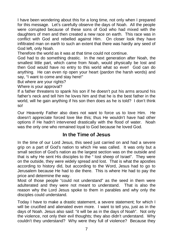I have been wondering about this for a long time, not only when I prepared for this message. Let's carefully observe the days of Noah. All the people were corrupted because of these sons of God who had mixed with the daughters of men and then created a new race on earth. This race was in conflict with God and rebelled against Him. On closer look they have infiltrated man on earth to such an extent that there was hardly any seed of God left, only Noah.

Therefore the world as it was at that time could not continue.

God had to do something drastic. In the next generation after Noah, the smallest little part, which came from Noah, would physically be lost and then God would have no entry to this world what so ever! God can do anything. He can even rip open your heart (pardon the harsh words) and say, "I want to come and stay here!"

But where are your rights?

Where is your approval?

If a father threatens to spank his son if he doesn't put his arms around his father's neck and tell him he loves him and that he is the best father in the world, will he gain anything if his son then does as he is told? I don't think so!

Our Heavenly Father also does not want to force us to love Him. He doesn't appreciate forced love like this; thus He wouldn't have had other options if He hadn't intervened drastically with the flood of water. Noah was the only one who remained loyal to God because he loved God.

### **In the Time of Jesus**

In the time of our Lord Jesus, this seed just carried on and had a severe grip on a part of God's nation to which He was called. It was only but a small section of God's nation as the largest section was on the outside and that is why He sent His disciples to the " lost sheep of Israel". They were on the outside, they were widely spread and lost. That is what the apostles according to history did, but according to the Word, Jesus had to go to Jerusalem because He had to die there. This is where He had to pay the price and determine the way.

Most of those people "could not understand" as the seed in them were adulterated and they were not meant to understand. That is also the reason why the Lord Jesus spoke to them in parables and why only the disciples could understand.

Today I have to make a drastic statement, a severe statement; for which I will be crucified and alienated even more. I want to tell you, just as in the days of Noah. Jesus also said: "it will be as in the days of Noah". Not only the violence, not only their evil thoughts; they also didn't understand. Why couldn't they understand? Why were they full of violence? Because they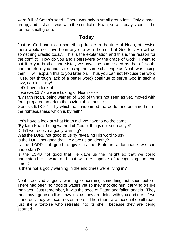were full of Satan's seed. There was only a small group left. Only a small group, and just as it was with the conflict of Noah, so will today's conflict be for that small group.

# **Today**

Just as God had to do something drastic in the time of Noah, otherwise there would not have been any one with the seed of God left, He will do something drastic today. This is the explanation and this is the reason for the conflict. How do you and I persevere by the grace of God? I want to put it to you brother and sister, we have the same seed as that of Noah, and therefore you and I are facing the same challenge as Noah was facing then. I will explain this to you later on. Thus you can not (excuse the word I use, but through lack of a better word) continue to serve God in such a lazy, careless way!

Let's have a look at:

Hebrews 11:7 - we are talking of Noah - - - -

"By faith Noah, being warned of God of things not seen as yet, moved with fear, prepared an ark to the saving of his house";

[Genesis 6.13-22](http://aol.bartleby.com/108/01/6.html) – "by which he condemned the world, and became heir of the righteousness which is by faith".

Let's have a look at what Noah did, we have to do the same.

"By faith Noah, being warned of God of things not seen as yet".

Didn't we receive a godly warning?

Was the LORD not good to us by revealing His word to us?

Is the LORD not good that He gave us an identity?

Is the LORD not good to give us the Bible in a language we can understand?

Is the LORD not good that He gave us the insight so that we could understand His word and that we are capable of recognising the end times?

Is there not a godly warning in the end times we're living in?

Noah received a godly warning concerning something not seen before. There had been no flood of waters yet so they mocked him, carrying on like maniacs. Just remember, it was the seed of Satan and fallen angels. They must have gone on like crazy just as they are doing with you and me. If we stand out, they will scorn even more. Then there are those who will react just like a tortoise who retreats into its shell, because they are being scorned.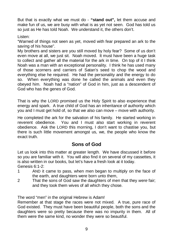But that is exactly what we must do - **"stand out",** let them accuse and make fun of us, we are busy with what is as yet not seen. God has told us so just as He has told Noah. We understand it, the others don't.

#### Listen:

"Warned of things not seen as yet, moved with fear prepared an ark to the saving of his house".

My brothers and sisters are you still moved by holy fear? Some of us don't even move at all, we just sit. Noah moved. It must have been a huge task to collect and gather all the material for the ark in time. On top of it I think Noah was a man with an exceptional personality. I think he has used many of those scorners and carriers of Satan's seed to chop the wood and everything else he required. He had the personality and the energy to do so. When everything was done he called the animals and even they obeyed him. Noah had a "nation" of God in him, just as a descendent of God who has the genes of God.

That is why the LORD promised us the Holy Spirit to also experience that energy and spark. A true child of God has an inheritance of authority which you and I must get hold of, so that we also can move – move with authority.

He completed the ark for the salvation of his family. He started working in reverent obedience. You and I must also start working in reverent obedience. Ask the LORD this morning, I don't want to chastise you, but there is such little movement amongst us, we, the people who know the exact truth.

# **Sons of God**

Let us look into this matter at greater length. We have discussed it before so you are familiar with it. You will also find it on several of my cassettes, it is also written in our books, but let's have a fresh look at it today. Genesis 6:1-2:

- 1 AND it came to pass, when men began to multiply on the face of the earth, and daughters were born unto them,
- 2 That the sons of God saw the daughters of men that they *were* fair; and they took them wives of all which they chose.

The word "men" in the original Hebrew is Adam!

Remember at that stage the races were not mixed. A true, pure race of God existed. They must have been beautiful people, both the sons and the daughters were so pretty because there was no impurity in them. All of them were the same kind, no wonder they were so beautiful.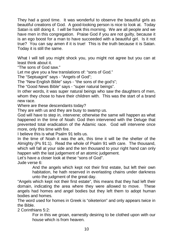They had a good time. It was wonderful to observe the beautiful girls as beautiful creations of God. A good-looking person is nice to look at. Today Satan is still doing it. I will be frank this morning. We are all people and we have men in this congregation. Praise God if you are not guilty, because it is an ego boost for a man to have succeeded with a beautiful girl. Is it not true? You can say amen if it is true! This is the truth because it is Satan. Today it is still the same.

What I will tell you might shock you, you might not agree but you can at least think about it.

"The sons of God saw."

Let me give you a few translations of: "sons of God."

The "Septuagint" says - "Angels of God";

The "New English Bible" says - "the sons of the god's";

The "Good News Bible" says - "super natural beings".

In other words, it was super natural beings who saw the daughters of men, whom they chose to have their children with. This was the start of a brand new race.

Where are these descendants today?

They are with us and they are busy to swamp us.

God will have to step in, intervene; otherwise the same will happen as what happened in the time of Noah: God then intervened with the Deluge that prevented total eradication of the Adamic race. God will intervene once more, only this time with fire.

I believe this is what Psalm 91 tells us.

In the time of Noah it was the ark, this time it will be the shelter of the Almighty (Ps 91:1). Read the whole of Psalm 91 with care. The thousand, which will fall at your side and the ten thousand to your right hand can only happen with the last judgement of an atomic judgement.

Let's have a closer look at these "sons of God".

Jude verse 6:

And the angels which kept not their first estate, but left their own habitation, he hath reserved in everlasting chains under darkness unto the judgment of the great day.

"Angels which kept not their first estate", this means that they had left their domain, indicating the area where they were allowed to move. These angels had homes and angel bodies but they left them to adopt human bodies and homes.

The word used for homes in Greek is "oiketerion" and only appears twice in the Bible.

2 Corinthians 5:2:

For in this we groan, earnestly desiring to be clothed upon with our house which is from heaven.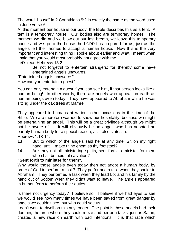The word "house" in 2 Corinthians 5:2 is exactly the same as the word used in Jude verse 6.

At this moment our house is our body, the Bible describes this as a tent. A tent is a temporary house. Our bodies also are temporary homes. The moment we die and we blow out our last breath, we leave this temporary house and we go to the house the LORD has prepared for us, just as the angels left their homes to accept a human house. Now this is the very important and interesting thing I spoke about earlier and what I meant when I said that you would most probably not agree with me.

Let's read Hebrews 13:2:

Be not forgetful to entertain strangers: for thereby some have entertained angels unawares.

"Entertained angels unawares".

How can you entertain a guest?

You can only entertain a guest if you can see him, if that person looks like a human being! In other words, there are angels who appear on earth as human beings even today. They have appeared to Abraham while he was sitting under the oak trees at Mamre.

They appeared to humans at various other occasions in the time of the Bible. We are therefore warned to show our hospitality, because we might be entertaining an angel. This will be a great privilege although we might not be aware of it. It will obviously be an angel, who has adopted an earthly human body for a special reason, as it also states in: Hebrews 1:13-14:

- 13 But to which of the angels said he at any time, Sit on my right hand, until I make thine enemies thy footstool?
- 14 Are they not all ministering spirits, sent forth to minister for them who shall be heirs of salvation?

#### **"Sent forth to minister for them".**

Why would those angels even today then not adopt a human body, by order of God to perform a task? They performed a task when they spoke to Abraham. They performed a task when they lead Lot and his family by the hand out of Sodom when they didn't want to leave. The angels appeared in human form to perform their duties.

Is there not urgency today? I believe so. I believe if we had eyes to see we would see how many times we have been saved from great danger by angels we couldn't see, but who could see us.

I don't want to dwell on this any longer. The point is those angels had their domain, the area where they could move and perform tasks, just as Satan, created a new race on earth with bad intentions. It is that race which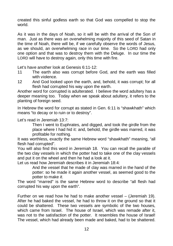created this sinful godless earth so that God was compelled to stop the world.

As it was in the days of Noah, so it will be with the arrival of the Son of man. Just as there was an overwhelming majority of this seed of Satan in the time of Noah, there will be, if we carefully observe the words of Jesus, as we should, an overwhelming race in our time. So the LORD had only one option and that was to destroy them with the Deluge. In our time the LORD will have to destroy again, only this time with fire.

Let's have another look at Genesis 6:11-12:

- 11 The earth also was corrupt before God, and the earth was filled with violence.
- 12 And God looked upon the earth, and, behold, it was corrupt; for all flesh had corrupted his way upon the earth.

Another word for corrupted is adulterated. I believe the word adultery has a deeper meaning too. Today when we speak about adultery, it refers to the planting of foreign seed.

In Hebrew the word for corrupt as stated in Gen. 6:11 is "shawkhath" which means "to decay or to ruin or to destroy".

Let's read in Jeremiah 13:7:

Then I went to Euphrates, and digged, and took the girdle from the place where I had hid it: and, behold, the girdle was marred, it was profitable for nothing.

It was worthless, exactly the same Hebrew word "shawkhath" meaning, "all flesh had corrupted".

You will also find this word in Jeremiah 18. You can recall the parable of the two clay vessels in which the potter had to take one of the clay vessels and put it on the wheel and then he had a look at it.

Let us read how Jeremiah describes it in Jeremiah 18:4:

And the vessel that he made of clay was marred in the hand of the potter: so he made it again another vessel, as seemed good to the potter to make *it*.

The word "marred" is the same Hebrew word to describe "all flesh had corrupted his way upon the earth".

Further on we read how he had to make another vessel – (Jeremiah 19). After he had baked the vessel, he had to throw it on the ground so that it could be shattered. These two vessels are symbolic of the two houses, which came from Israel. The house of Israel, which was remade after it, was not to the satisfaction of the potter. It resembles the house of Israel! The vessel, which had already been made and baked, had to be shattered.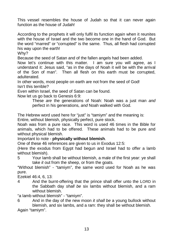This vessel resembles the house of Judah so that it can never again function as the house of Judah!

According to the prophets it will only fulfil its function again when it reunites with the house of Israel and the two become one in the hand of God. But the word "marred" or "corrupted" is the same. Thus, all flesh had corrupted his way upon the earth!

Why?

Because the seed of Satan and of the fallen angels had been added.

Now let's continue with this matter. I am sure you will agree, as I understand it: Jesus said, "as in the days of Noah it will be with the arrival of the Son of man". Then all flesh on this earth must be corrupted, adulterated.

In other words, most people on earth are not from the seed of God! Isn't this terrible?

Even within Israel, the seed of Satan can be found.

Now let us go back to Genesis 6:9:

These *are* the generations of Noah: Noah was a just man *and* perfect in his generations, *and* Noah walked with God.

The Hebrew word used here for "just" is "tamiym" and the meaning is:

Entire, without blemish, physically perfect, pure stock.

Noah was from a pure race. This word is used 46 times in the Bible for animals, which had to be offered. These animals had to be pure and without physical blemish.

Important to note - **physically without blemish**.

One of these 46 references are given to us in Exodus 12:5:

(Here the exodus from Egypt had begun and Israel had to offer a lamb without blemish).

5 Your lamb shall be without blemish, a male of the first year: ye shall take *it* out from the sheep, or from the goats.

"Without blemish" - "tamiym", the same word used for Noah as he was pure.

Ezekiel 46:4, 6, 13:

4 And the burnt-offering that the prince shall offer unto the LORD in the Sabbath day *shall be* six lambs without blemish, and a ram without blemish

"a lamb without blemish" - "tamiym".

6 And in the day of the new moon *it shall be* a young bullock without blemish, and six lambs, and a ram: they shall be without blemish. Again "tamiym".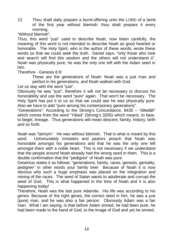13 Thou shalt daily prepare a burnt-offering unto the LORD *of* a lamb of the first year without blemish: thou shalt prepare it every morning.

"Without blemish".

Thus, this word "just" used to describe Noah, now listen carefully, the meaning of this word is not intended to describe Noah as good hearted or honorable. The Holy Spirit, who is the author of these words, wrote these words so that we could seek the truth. Daniel says; "only those who look and search will find this wisdom and the others will not understand it". Noah was physically pure, he was the only one left with the Adam seed in him.

Therefore - Genesis 6:9:

These *are* the generations of Noah: Noah was a just man *and* perfect in his generations, *and* Noah walked with God.

Let us stay with the word "just".

Obviously he was "just", therefore it will not be necessary to discuss his honorability and use the word "pure" again. That won't be necessary. The Holy Spirit has put it to us so that we could see he was physically pure. Also we have to add "pure among his contemporary generations".

"Generations": According to the Strong's Concordance, 8435 – "tôledâh" which comes from the word "Yâlad" (Strong's 3205) which means, to bear, to beget, lineage. Thus generations will mean descent, family, history, birth and so forth.

Noah was "tamiym". He was without blemish. That is what is meant by this word. Unfortunately ministers and pastors preach that Noah was honorable amongst his generations and that he was the only one left amongst them with a noble heart. This is not necessary if we understand that the people around Noah already had the wrong seed in them. This is a double confirmation that the "pedigree" of Noah was pure.

Gesenius states it as follows: "generations, family, races, genesis, geniality, pedigree" in other words your family tree! Because of Noah it is now obvious why such a huge emphasis was placed on the integration and mixing of the races. The seed of Satan wants to adulterate and corrupt the seed of God. This is what happened in the time of Noah and it is also happening today!

Therefore, Noah was the last pure Adamite. His life was according to his genes. Because of the right genes, the correct seed in him, he was a just (pure) man, and he was also a fair person. Obviously Adam was a fair man. What I am saying, is that before Adam sinned, he had been pure, he had been made to the hand of God, to the image of God and yet he sinned.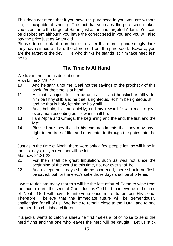This does not mean that if you have the pure seed in you, you are without sin, or incapable of sinning. The fact that you carry the pure seed makes you even more the target of Satan, just as he had targeted Adam. You can be disobedient although you have the correct seed in you and you will also pay the price just as Adam did.

Please do not look at a brother or a sister this morning and smugly think they have sinned and are therefore not from the pure seed. Beware, you are the target of the devil. He who thinks he stands let him take heed lest he fall.

# **The Time Is At Hand**

We live in the time as described in:

Revelation 22:10-14:

- 10 And he saith unto me, Seal not the sayings of the prophecy of this book: for the time is at hand.
- 11 He that is unjust, let him be unjust still: and he which is filthy, let him be filthy still: and he that is righteous, let him be righteous still: and he that is holy, let him be holy still.
- 12 And, behold, I come quickly; and my reward *is* with me, to give every man according as his work shall be.
- 13 I am Alpha and Omega, the beginning and the end, the first and the last.
- 14 Blessed *are* they that do his commandments that they may have right to the tree of life, and may enter in through the gates into the city.

Just as in the time of Noah, there were only a few people left, so will it be in the last days, only a remnant will be left.

Matthew 24:21-22:

- 21 For then shall be great tribulation, such as was not since the beginning of the world to this time, no, nor ever shall be.
- 22 And except those days should be shortened, there should no flesh be saved: but for the elect's sake those days shall be shortened.

I want to declare today that this will be the last effort of Satan to wipe from the face of earth the seed of God. Just as God had to intervene in the time of Noah, God will have to intervene once more to protect His seed. Therefore I believe that the immediate future will be tremendously challenging for all of us. We have to remain close to the LORD and to one another, His cherished children.

If a jackal wants to catch a sheep he first makes a lot of noise to send the herd flying and the one who leaves the herd will be caught. Let us stick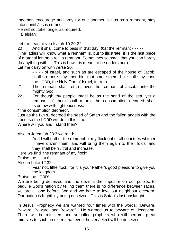together, encourage and pray for one another, let us as a remnant, stay intact until Jesus comes.

He will not take longer as required. Hallelujah!

Let me read to you Isaiah 10:20-22:

20 And it shall come to pass in that day*, that* the remnant - - - - - (The ladies will know what a remnant is, but to illustrate, it is the last piece of material left on a roll, a remnant. Sometimes so small that you can hardly do anything with it. This is how it is meant to be understood).

Let me carry on with verse 20:

- - - - of Israel, and such as are escaped of the house of Jacob, shall no more stay upon him that smote them; but shall stay upon the LORD, the Holy One of Israel, in truth.

- 21 The remnant shall return, even the remnant of Jacob, unto the mighty God.
- 22 For though thy people Israel be as the sand of the sea, yet a remnant of them shall return: the consumption decreed shall overflow with righteousness.

"The consumption decreed".

Just as the LORD decreed the seed of Satan and the fallen angels with the flood, so the LORD will do in this time.

Where will you and I stand then?

Also in Jeremiah 23:3 we read:

And I will gather the remnant of my flock out of all countries whither I have driven them, and will bring them again to their folds; and they shall be fruitful and increase.

Here we find "the remnant of my flock"!

Praise the LORD!

Also in Luke 12:32:

Fear not, little flock; for it is your Father's good pleasure to give you the kingdom.

Praise the LORD!

We are being deceived and the devil is the impostor on our pulpits, to beguile God's nation by telling them there is no difference between races, we are all one before God and we have to love our neighbour etcetera. Our nation is frightfully being deceived. This is Satan's last onslaught.

In Jesus' Prophecy we are warned four times with the words: "Beware, Beware, Beware, and Beware". He warned us to beware of deception. There will be ministers and so-called prophets who will perform great miracles to such an extent that even the very elect will be deceived.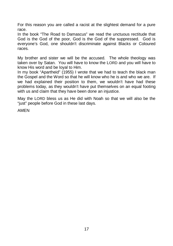For this reason you are called a racist at the slightest demand for a pure race.

In the book "The Road to Damascus" we read the unctuous rectitude that God is the God of the poor, God is the God of the suppressed. God is everyone's God, one shouldn't discriminate against Blacks or Coloured races.

My brother and sister we will be the accused. The whole theology was taken over by Satan. You will have to know the LORD and you will have to know His word and be loyal to Him.

In my book "Apartheid" (1955) I wrote that we had to teach the black man the Gospel and the Word so that he will know who he is and who we are. If we had explained their position to them, we wouldn't have had these problems today, as they wouldn't have put themselves on an equal footing with us and claim that they have been done an injustice.

May the LORD bless us as He did with Noah so that we will also be the "just" people before God in these last days.

AMEN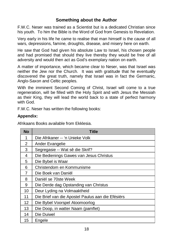# **Something about the Author**

F.W.C. Neser was trained as a Scientist but is a dedicated Christian since his youth. To him the Bible is the Word of God from Genesis to Revelation.

Very early in his life he came to realise that man himself is the cause of all wars, depressions, famine, droughts, disease, and misery here on earth.

He saw that God had given his absolute Law to Israel, his chosen people and had promised that should they live thereby they would be free of all adversity and would then act as God's exemplary nation on earth.

A matter of importance, which became clear to Neser, was that Israel was neither the Jew nor the Church. It was with gratitude that he eventually discovered the great truth, namely that Israel was in fact the Germanic, Anglo-Saxon and Celtic peoples.

With the imminent Second Coming of Christ, Israel will come to a true regeneration, will be filled with the Holy Spirit and with Jesus the Messiah as their King, they will lead the world back to a state of perfect harmony with God.

F.W.C. Neser has written the following books:

#### **Appendix:**

Afrikaans Books available from Ekklesia.

| <b>No</b>      | Title                                             |
|----------------|---------------------------------------------------|
| 1              | Die Afrikaner -- 'n Unieke Volk                   |
| 2              | Ander Evangelie                                   |
| 3              | Segregasie -- Wat sê die Skrif?                   |
| 4              | Die Bedienings Gawes van Jesus Christus           |
| 5              | Die Bybel is Waar                                 |
| 6              | Christendom en Kommunisme                         |
| $\overline{7}$ | Die Boek van Daniël                               |
| 8              | Daniël se 70ste Week                              |
| 9              | Die Derde dag Opstanding van Christus             |
| 10             | Deur Lyding na Volmaaktheid                       |
| 11             | Die Brief van die Apostel Paulus aan die Efésiërs |
| 12             | Die Bybel Voorspel Atoomoorlog                    |
| 13             | Die Doop, in watter Naam (pamflet)                |
| 14             | Die Duiwel                                        |
| 15             | Engele                                            |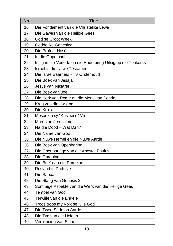| No | <b>Title</b>                                                 |
|----|--------------------------------------------------------------|
| 16 | Die Fondament van die Christelike Lewe                       |
| 17 | Die Gawes van die Heilige Gees                               |
| 18 | God se Groot Week                                            |
| 19 | <b>Goddelike Genesing</b>                                    |
| 20 | Die Profeet Hoséa                                            |
| 21 | In die Oppersaal                                             |
| 22 | Insig in die Verlede en die Hede bring Uitsig op die Toekoms |
| 23 | <b>Israel in die Nuwe Testament</b>                          |
| 24 | Die Israelwaarheid - TV Onderhoud                            |
| 25 | Die Boek van Jesaja                                          |
| 26 | Jesus van Nasaret                                            |
| 27 | Die Boek van Joël                                            |
| 28 | Die Kerk van Rome en die Mens van Sonde                      |
| 29 | Krag van die dwaling                                         |
| 30 | Die Kruis                                                    |
| 31 | Moses en sy "Kusitiese" Vrou                                 |
| 32 | Mure van Jerusalem                                           |
| 33 | Na die Dood - Wat Dan?                                       |
| 34 | Die Name van God                                             |
| 35 | Die Nuwe Hemel en die Nuwe Aarde                             |
| 36 | Die Boek van Openbaring                                      |
| 37 | Die Openbaringe van die Apostel Paulus                       |
| 38 | Die Opraping                                                 |
| 39 | Die Brief aan die Romeine                                    |
| 40 | <b>Rusland in Profesie</b>                                   |
| 41 | Die Sabbat                                                   |
| 42 | Die Slang van Génesis 3                                      |
| 43 | Sommige Aspekte van die Werk van die Heilige Gees            |
| 44 | Tempel van God                                               |
| 45 | Terwille van die Engele                                      |
| 46 | Troos troos my Volk sê julle God                             |
| 47 | Die Twee Sade op Aarde.                                      |
| 48 | Die Tyd van die Heiden                                       |
| 49 | Verblinding van Sinne                                        |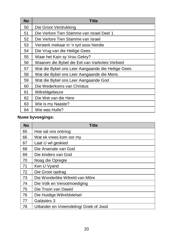| <b>No</b> | Title                                             |
|-----------|---------------------------------------------------|
| 50        | Die Groot Verdrukking                             |
| 51        | Die Verlore Tien Stamme van Israel Deel 1         |
| 52        | Die Verlore Tien Stamme van Israel                |
| 53        | Versterk mekaar in 'n tyd soos hierdie            |
| 54        | Die Vrug van die Heilige Gees                     |
| 55        | Waar het Kain sy Vrou Gekry?                      |
| 56        | Waarom die Bybel die Eet van Varkvleis Verbied    |
| 57        | Wat die Bybel ons Leer Aangaande die Heilige Gees |
| 58        | Wat die Bybel ons Leer Aangaande die Mens         |
| 59        | Wat die Bybel ons Leer Aangaande God              |
| 60        | Die Wederkoms van Christus                        |
| 61        | Wêreldgebeure                                     |
| 62        | Die Wet van die Here                              |
| 63        | Wie is my Naaste?                                 |
| 64        | Wie was Hulle?                                    |

# **Nuwe byvoegings:**

| <b>No</b> | <b>Title</b>                            |
|-----------|-----------------------------------------|
| 65        | Hoe sal ons ontylug                     |
| 66        | Wat ek vrees kom oor my                 |
| 67        | Laat U wil geskied                      |
| 68        | Die Arsenale van God                    |
| 69        | Die kinders van God                     |
| 70        | Noag die Opregte                        |
| 71        | Ken U Vyand                             |
| 72        | Die Groot opdrag                        |
| 73        | Die Wonderlike Wêreld van Môre          |
| 74        | Die Volk en Verootmoediging             |
| 75        | Die Troon van Dawid                     |
| 76        | Die Huidige Wêreldstelsel               |
| 77        | Galásiërs 3                             |
| 78        | Uitlander en Vreemdeling/ Griek of Jood |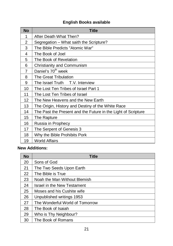### **English Books available**

| <b>No</b>      | <b>Title</b>                                                  |
|----------------|---------------------------------------------------------------|
| 1              | After Death What Then?                                        |
| 2              | Segregation - What saith the Scripture?                       |
| 3              | The Bible Predicts "Atomic War"                               |
| 4              | The Book of Joel                                              |
| 5              | The Book of Revelation                                        |
| 6              | Christianity and Communism                                    |
| $\overline{7}$ | Daniel's 70 <sup>th</sup> week                                |
| 8              | The Great Tribulation                                         |
| 9              | The Israel Truth T.V. Interview                               |
| 10             | The Lost Ten Tribes of Israel Part 1                          |
| 11             | The Lost Ten Tribes of Israel                                 |
| 12             | The New Heavens and the New Earth                             |
| 13             | The Origin, History and Destiny of the White Race             |
| 14             | The Past the Present and the Future in the Light of Scripture |
| 15             | The Rapture                                                   |
| 16             | Russia in Prophecy                                            |
| 17             | The Serpent of Genesis 3                                      |
| 18             | Why the Bible Prohibits Pork                                  |
| 19             | <b>World Affairs</b>                                          |

### **New Additions:**

| <b>No</b> | <b>Title</b>                    |
|-----------|---------------------------------|
| 20        | Sons of God                     |
| 21        | The Two Seeds Upon Earth        |
| 22        | The Bible is True               |
| 23        | Noah the Man Without Blemish    |
| 24        | Israel in the New Testament     |
| 25        | Moses and his Cushite wife      |
| 26        | Unpublished writings 1953       |
| 27        | The Wonderful World of Tomorrow |
| 28        | The Book of Isaiah              |
| 29        | Who is Thy Neighbour?           |
| 30        | The Book of Romans              |